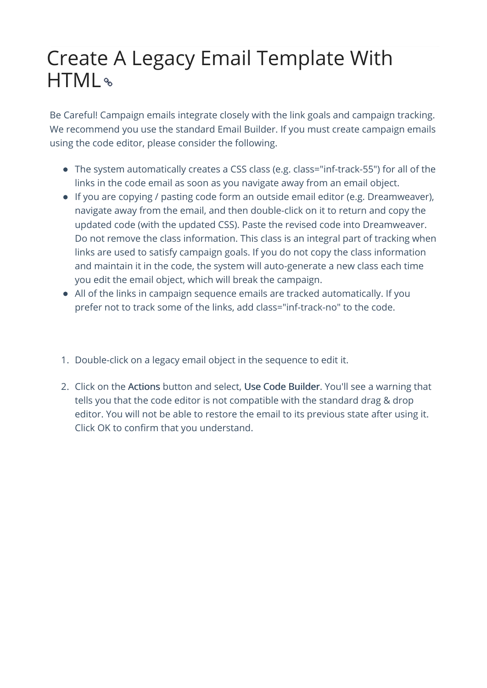## Create A Legacy Email Template With HTML

Be Careful! Campaign emails integrate closely with the link goals and campaign tracking. We recommend you use the standard Email Builder. If you must create campaign emails using the code editor, please consider the following.

- The system automatically creates a CSS class (e.g. class="inf-track-55") for all of the links in the code email as soon as you navigate away from an email object.
- If you are copying / pasting code form an outside email editor (e.g. Dreamweaver), navigate away from the email, and then double-click on it to return and copy the updated code (with the updated CSS). Paste the revised code into Dreamweaver. Do not remove the class information. This class is an integral part of tracking when links are used to satisfy campaign goals. If you do not copy the class information and maintain it in the code, the system will auto-generate a new class each time you edit the email object, which will break the campaign.
- All of the links in campaign sequence emails are tracked automatically. If you prefer not to track some of the links, add class="inf-track-no" to the code.
- 1. Double-click on a legacy email object in the sequence to edit it.
- 2. Click on the Actions button and select, Use Code Builder. You'll see a warning that tells you that the code editor is not compatible with the standard drag & drop editor. You will not be able to restore the email to its previous state after using it. Click OK to confirm that you understand.